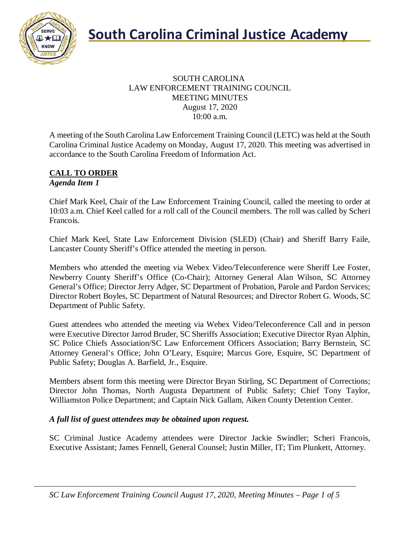

#### SOUTH CAROLINA LAW ENFORCEMENT TRAINING COUNCIL MEETING MINUTES August 17, 2020 10:00 a.m.

A meeting of the South Carolina Law Enforcement Training Council (LETC) was held at the South Carolina Criminal Justice Academy on Monday, August 17, 2020. This meeting was advertised in accordance to the South Carolina Freedom of Information Act.

#### **CALL TO ORDER** *Agenda Item 1*

Chief Mark Keel, Chair of the Law Enforcement Training Council, called the meeting to order at 10:03 a.m. Chief Keel called for a roll call of the Council members. The roll was called by Scheri Francois.

Chief Mark Keel, State Law Enforcement Division (SLED) (Chair) and Sheriff Barry Faile, Lancaster County Sheriff's Office attended the meeting in person.

Members who attended the meeting via Webex Video/Teleconference were Sheriff Lee Foster, Newberry County Sheriff's Office (Co-Chair); Attorney General Alan Wilson, SC Attorney General's Office; Director Jerry Adger, SC Department of Probation, Parole and Pardon Services; Director Robert Boyles, SC Department of Natural Resources; and Director Robert G. Woods, SC Department of Public Safety.

Guest attendees who attended the meeting via Webex Video/Teleconference Call and in person were Executive Director Jarrod Bruder, SC Sheriffs Association; Executive Director Ryan Alphin, SC Police Chiefs Association/SC Law Enforcement Officers Association; Barry Bernstein, SC Attorney General's Office; John O'Leary, Esquire; Marcus Gore, Esquire, SC Department of Public Safety; Douglas A. Barfield, Jr., Esquire.

Members absent form this meeting were Director Bryan Stirling, SC Department of Corrections; Director John Thomas, North Augusta Department of Public Safety; Chief Tony Taylor, Williamston Police Department; and Captain Nick Gallam, Aiken County Detention Center.

### *A full list of guest attendees may be obtained upon request.*

SC Criminal Justice Academy attendees were Director Jackie Swindler; Scheri Francois, Executive Assistant; James Fennell, General Counsel; Justin Miller, IT; Tim Plunkett, Attorney.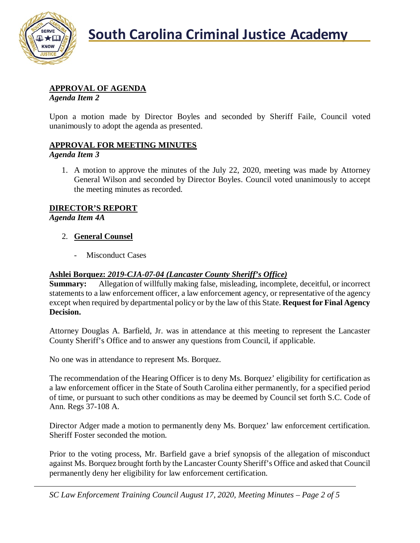

# **APPROVAL OF AGENDA**

*Agenda Item 2*

Upon a motion made by Director Boyles and seconded by Sheriff Faile, Council voted unanimously to adopt the agenda as presented.

## **APPROVAL FOR MEETING MINUTES**

#### *Agenda Item 3*

1. A motion to approve the minutes of the July 22, 2020, meeting was made by Attorney General Wilson and seconded by Director Boyles. Council voted unanimously to accept the meeting minutes as recorded.

## **DIRECTOR'S REPORT**

*Agenda Item 4A*

### 2. **General Counsel**

- Misconduct Cases

# **Ashlei Borquez:** *2019-CJA-07-04 (Lancaster County Sheriff's Office)*

**Summary:** Allegation of willfully making false, misleading, incomplete, deceitful, or incorrect statements to a law enforcement officer, a law enforcement agency, or representative of the agency except when required by departmental policy or by the law of this State. **Request for Final Agency Decision.**

Attorney Douglas A. Barfield, Jr. was in attendance at this meeting to represent the Lancaster County Sheriff's Office and to answer any questions from Council, if applicable.

No one was in attendance to represent Ms. Borquez.

The recommendation of the Hearing Officer is to deny Ms. Borquez' eligibility for certification as a law enforcement officer in the State of South Carolina either permanently, for a specified period of time, or pursuant to such other conditions as may be deemed by Council set forth S.C. Code of Ann. Regs 37-108 A.

Director Adger made a motion to permanently deny Ms. Borquez' law enforcement certification. Sheriff Foster seconded the motion.

Prior to the voting process, Mr. Barfield gave a brief synopsis of the allegation of misconduct against Ms. Borquez brought forth by the Lancaster County Sheriff's Office and asked that Council permanently deny her eligibility for law enforcement certification.

*SC Law Enforcement Training Council August 17, 2020, Meeting Minutes – Page 2 of 5*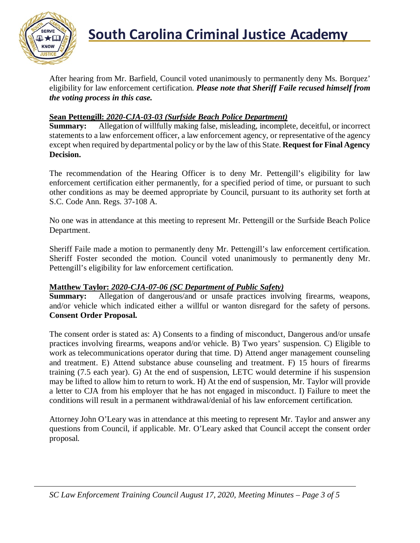

After hearing from Mr. Barfield, Council voted unanimously to permanently deny Ms. Borquez' eligibility for law enforcement certification. *Please note that Sheriff Faile recused himself from the voting process in this case.*

# **Sean Pettengill:** *2020-CJA-03-03 (Surfside Beach Police Department)*

**Summary:** Allegation of willfully making false, misleading, incomplete, deceitful, or incorrect statements to a law enforcement officer, a law enforcement agency, or representative of the agency except when required by departmental policy or by the law of this State. **Request for Final Agency Decision.**

The recommendation of the Hearing Officer is to deny Mr. Pettengill's eligibility for law enforcement certification either permanently, for a specified period of time, or pursuant to such other conditions as may be deemed appropriate by Council, pursuant to its authority set forth at S.C. Code Ann. Regs. 37-108 A.

No one was in attendance at this meeting to represent Mr. Pettengill or the Surfside Beach Police Department.

Sheriff Faile made a motion to permanently deny Mr. Pettengill's law enforcement certification. Sheriff Foster seconded the motion. Council voted unanimously to permanently deny Mr. Pettengill's eligibility for law enforcement certification.

#### **Matthew Taylor:** *2020-CJA-07-06 (SC Department of Public Safety)*

**Summary:** Allegation of dangerous/and or unsafe practices involving firearms, weapons, and/or vehicle which indicated either a willful or wanton disregard for the safety of persons. **Consent Order Proposal.**

The consent order is stated as: A) Consents to a finding of misconduct, Dangerous and/or unsafe practices involving firearms, weapons and/or vehicle. B) Two years' suspension. C) Eligible to work as telecommunications operator during that time. D) Attend anger management counseling and treatment. E) Attend substance abuse counseling and treatment. F) 15 hours of firearms training (7.5 each year). G) At the end of suspension, LETC would determine if his suspension may be lifted to allow him to return to work. H) At the end of suspension, Mr. Taylor will provide a letter to CJA from his employer that he has not engaged in misconduct. I) Failure to meet the conditions will result in a permanent withdrawal/denial of his law enforcement certification.

Attorney John O'Leary was in attendance at this meeting to represent Mr. Taylor and answer any questions from Council, if applicable. Mr. O'Leary asked that Council accept the consent order proposal.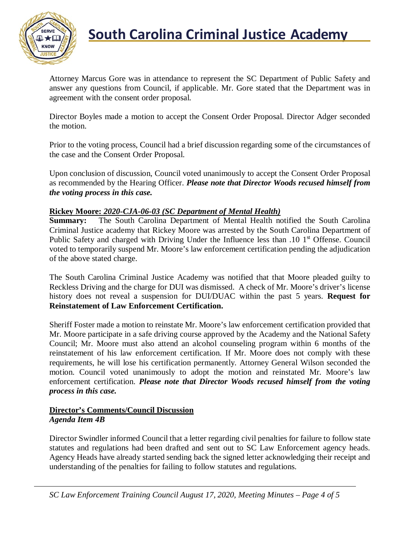

# **South Carolina Criminal Justice Academy**<br>KNOW

Attorney Marcus Gore was in attendance to represent the SC Department of Public Safety and answer any questions from Council, if applicable. Mr. Gore stated that the Department was in agreement with the consent order proposal.

Director Boyles made a motion to accept the Consent Order Proposal. Director Adger seconded the motion.

Prior to the voting process, Council had a brief discussion regarding some of the circumstances of the case and the Consent Order Proposal.

Upon conclusion of discussion, Council voted unanimously to accept the Consent Order Proposal as recommended by the Hearing Officer. *Please note that Director Woods recused himself from the voting process in this case.*

# **Rickey Moore: 2020-CJA-06-03** *(SC Department of Mental Health)***<br>Summary: The South Carolina Department of Mental Health no**

The South Carolina Department of Mental Health notified the South Carolina Criminal Justice academy that Rickey Moore was arrested by the South Carolina Department of Public Safety and charged with Driving Under the Influence less than .10 1<sup>st</sup> Offense. Council voted to temporarily suspend Mr. Moore's law enforcement certification pending the adjudication of the above stated charge.

The South Carolina Criminal Justice Academy was notified that that Moore pleaded guilty to Reckless Driving and the charge for DUI was dismissed. A check of Mr. Moore's driver's license history does not reveal a suspension for DUI/DUAC within the past 5 years. **Request for Reinstatement of Law Enforcement Certification.**

Sheriff Foster made a motion to reinstate Mr. Moore's law enforcement certification provided that Mr. Moore participate in a safe driving course approved by the Academy and the National Safety Council; Mr. Moore must also attend an alcohol counseling program within 6 months of the reinstatement of his law enforcement certification. If Mr. Moore does not comply with these requirements, he will lose his certification permanently. Attorney General Wilson seconded the motion. Council voted unanimously to adopt the motion and reinstated Mr. Moore's law enforcement certification. *Please note that Director Woods recused himself from the voting process in this case.*

#### **Director's Comments/Council Discussion** *Agenda Item 4B*

Director Swindler informed Council that a letter regarding civil penalties for failure to follow state statutes and regulations had been drafted and sent out to SC Law Enforcement agency heads. Agency Heads have already started sending back the signed letter acknowledging their receipt and understanding of the penalties for failing to follow statutes and regulations.

*SC Law Enforcement Training Council August 17, 2020, Meeting Minutes – Page 4 of 5*